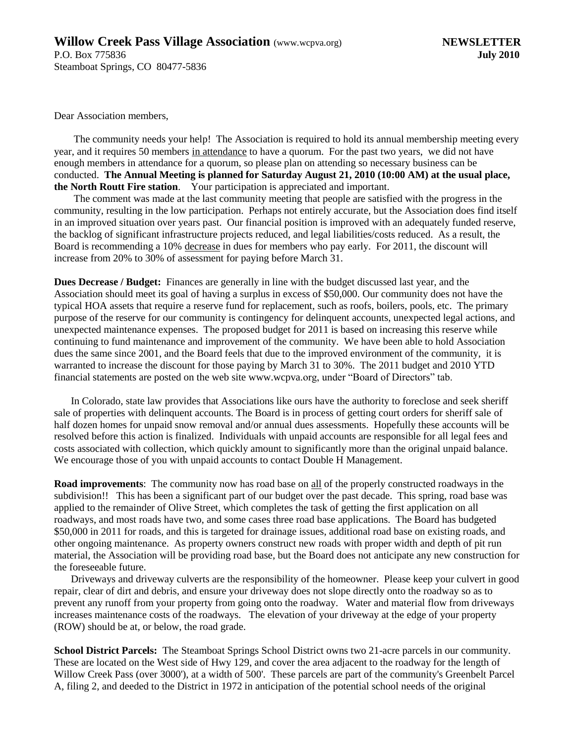Dear Association members,

The community needs your help! The Association is required to hold its annual membership meeting every year, and it requires 50 members in attendance to have a quorum. For the past two years, we did not have enough members in attendance for a quorum, so please plan on attending so necessary business can be conducted. **The Annual Meeting is planned for Saturday August 21, 2010 (10:00 AM) at the usual place, the North Routt Fire station**. Your participation is appreciated and important.

The comment was made at the last community meeting that people are satisfied with the progress in the community, resulting in the low participation. Perhaps not entirely accurate, but the Association does find itself in an improved situation over years past. Our financial position is improved with an adequately funded reserve, the backlog of significant infrastructure projects reduced, and legal liabilities/costs reduced. As a result, the Board is recommending a 10% decrease in dues for members who pay early. For 2011, the discount will increase from 20% to 30% of assessment for paying before March 31.

**Dues Decrease / Budget:** Finances are generally in line with the budget discussed last year, and the Association should meet its goal of having a surplus in excess of \$50,000. Our community does not have the typical HOA assets that require a reserve fund for replacement, such as roofs, boilers, pools, etc. The primary purpose of the reserve for our community is contingency for delinquent accounts, unexpected legal actions, and unexpected maintenance expenses. The proposed budget for 2011 is based on increasing this reserve while continuing to fund maintenance and improvement of the community. We have been able to hold Association dues the same since 2001, and the Board feels that due to the improved environment of the community, it is warranted to increase the discount for those paying by March 31 to 30%. The 2011 budget and 2010 YTD financial statements are posted on the web site www.wcpva.org, under "Board of Directors" tab.

In Colorado, state law provides that Associations like ours have the authority to foreclose and seek sheriff sale of properties with delinquent accounts. The Board is in process of getting court orders for sheriff sale of half dozen homes for unpaid snow removal and/or annual dues assessments. Hopefully these accounts will be resolved before this action is finalized. Individuals with unpaid accounts are responsible for all legal fees and costs associated with collection, which quickly amount to significantly more than the original unpaid balance. We encourage those of you with unpaid accounts to contact Double H Management.

**Road improvements**: The community now has road base on all of the properly constructed roadways in the subdivision!! This has been a significant part of our budget over the past decade. This spring, road base was applied to the remainder of Olive Street, which completes the task of getting the first application on all roadways, and most roads have two, and some cases three road base applications. The Board has budgeted \$50,000 in 2011 for roads, and this is targeted for drainage issues, additional road base on existing roads, and other ongoing maintenance. As property owners construct new roads with proper width and depth of pit run material, the Association will be providing road base, but the Board does not anticipate any new construction for the foreseeable future.

Driveways and driveway culverts are the responsibility of the homeowner. Please keep your culvert in good repair, clear of dirt and debris, and ensure your driveway does not slope directly onto the roadway so as to prevent any runoff from your property from going onto the roadway. Water and material flow from driveways increases maintenance costs of the roadways. The elevation of your driveway at the edge of your property (ROW) should be at, or below, the road grade.

**School District Parcels:** The Steamboat Springs School District owns two 21-acre parcels in our community. These are located on the West side of Hwy 129, and cover the area adjacent to the roadway for the length of Willow Creek Pass (over 3000'), at a width of 500'. These parcels are part of the community's Greenbelt Parcel A, filing 2, and deeded to the District in 1972 in anticipation of the potential school needs of the original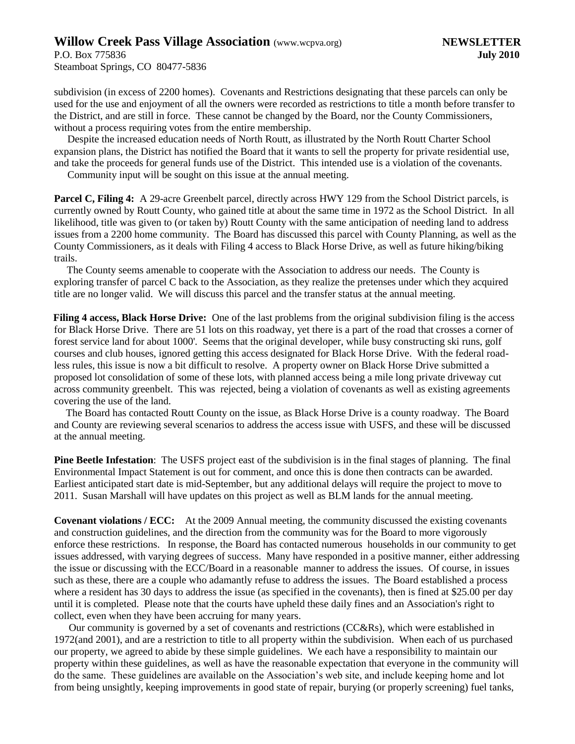## **Willow Creek Pass Village Association** (www.wcpva.org) **NEWSLETTER**

Steamboat Springs, CO 80477-5836

subdivision (in excess of 2200 homes). Covenants and Restrictions designating that these parcels can only be used for the use and enjoyment of all the owners were recorded as restrictions to title a month before transfer to the District, and are still in force. These cannot be changed by the Board, nor the County Commissioners, without a process requiring votes from the entire membership.

Despite the increased education needs of North Routt, as illustrated by the North Routt Charter School expansion plans, the District has notified the Board that it wants to sell the property for private residential use, and take the proceeds for general funds use of the District. This intended use is a violation of the covenants.

Community input will be sought on this issue at the annual meeting.

**Parcel C, Filing 4:** A 29-acre Greenbelt parcel, directly across HWY 129 from the School District parcels, is currently owned by Routt County, who gained title at about the same time in 1972 as the School District. In all likelihood, title was given to (or taken by) Routt County with the same anticipation of needing land to address issues from a 2200 home community. The Board has discussed this parcel with County Planning, as well as the County Commissioners, as it deals with Filing 4 access to Black Horse Drive, as well as future hiking/biking trails.

The County seems amenable to cooperate with the Association to address our needs. The County is exploring transfer of parcel C back to the Association, as they realize the pretenses under which they acquired title are no longer valid. We will discuss this parcel and the transfer status at the annual meeting.

**Filing 4 access, Black Horse Drive:** One of the last problems from the original subdivision filing is the access for Black Horse Drive. There are 51 lots on this roadway, yet there is a part of the road that crosses a corner of forest service land for about 1000'. Seems that the original developer, while busy constructing ski runs, golf courses and club houses, ignored getting this access designated for Black Horse Drive. With the federal roadless rules, this issue is now a bit difficult to resolve. A property owner on Black Horse Drive submitted a proposed lot consolidation of some of these lots, with planned access being a mile long private driveway cut across community greenbelt. This was rejected, being a violation of covenants as well as existing agreements covering the use of the land.

The Board has contacted Routt County on the issue, as Black Horse Drive is a county roadway. The Board and County are reviewing several scenarios to address the access issue with USFS, and these will be discussed at the annual meeting.

**Pine Beetle Infestation**: The USFS project east of the subdivision is in the final stages of planning. The final Environmental Impact Statement is out for comment, and once this is done then contracts can be awarded. Earliest anticipated start date is mid-September, but any additional delays will require the project to move to 2011. Susan Marshall will have updates on this project as well as BLM lands for the annual meeting.

**Covenant violations / ECC:** At the 2009 Annual meeting, the community discussed the existing covenants and construction guidelines, and the direction from the community was for the Board to more vigorously enforce these restrictions. In response, the Board has contacted numerous households in our community to get issues addressed, with varying degrees of success. Many have responded in a positive manner, either addressing the issue or discussing with the ECC/Board in a reasonable manner to address the issues. Of course, in issues such as these, there are a couple who adamantly refuse to address the issues. The Board established a process where a resident has 30 days to address the issue (as specified in the covenants), then is fined at \$25.00 per day until it is completed. Please note that the courts have upheld these daily fines and an Association's right to collect, even when they have been accruing for many years.

Our community is governed by a set of covenants and restrictions (CC&Rs), which were established in 1972(and 2001), and are a restriction to title to all property within the subdivision. When each of us purchased our property, we agreed to abide by these simple guidelines. We each have a responsibility to maintain our property within these guidelines, as well as have the reasonable expectation that everyone in the community will do the same. These guidelines are available on the Association's web site, and include keeping home and lot from being unsightly, keeping improvements in good state of repair, burying (or properly screening) fuel tanks,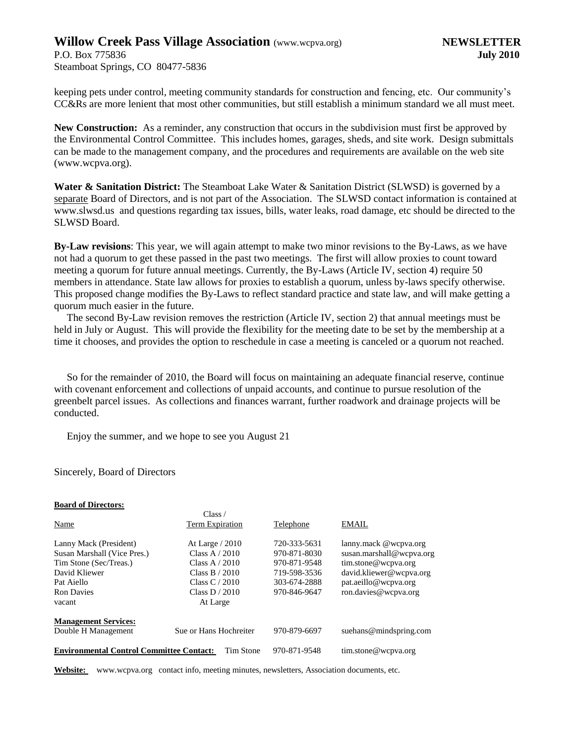## **Willow Creek Pass Village Association** (www.wcpva.org) **NEWSLETTER**

Steamboat Springs, CO 80477-5836

keeping pets under control, meeting community standards for construction and fencing, etc. Our community's CC&Rs are more lenient that most other communities, but still establish a minimum standard we all must meet.

**New Construction:** As a reminder, any construction that occurs in the subdivision must first be approved by the Environmental Control Committee. This includes homes, garages, sheds, and site work. Design submittals can be made to the management company, and the procedures and requirements are available on the web site (www.wcpva.org).

**Water & Sanitation District:** The Steamboat Lake Water & Sanitation District (SLWSD) is governed by a separate Board of Directors, and is not part of the Association. The SLWSD contact information is contained at www.slwsd.us and questions regarding tax issues, bills, water leaks, road damage, etc should be directed to the SLWSD Board.

**By-Law revisions**: This year, we will again attempt to make two minor revisions to the By-Laws, as we have not had a quorum to get these passed in the past two meetings. The first will allow proxies to count toward meeting a quorum for future annual meetings. Currently, the By-Laws (Article IV, section 4) require 50 members in attendance. State law allows for proxies to establish a quorum, unless by-laws specify otherwise. This proposed change modifies the By-Laws to reflect standard practice and state law, and will make getting a quorum much easier in the future.

The second By-Law revision removes the restriction (Article IV, section 2) that annual meetings must be held in July or August. This will provide the flexibility for the meeting date to be set by the membership at a time it chooses, and provides the option to reschedule in case a meeting is canceled or a quorum not reached.

So for the remainder of 2010, the Board will focus on maintaining an adequate financial reserve, continue with covenant enforcement and collections of unpaid accounts, and continue to pursue resolution of the greenbelt parcel issues. As collections and finances warrant, further roadwork and drainage projects will be conducted.

Enjoy the summer, and we hope to see you August 21

#### Sincerely, Board of Directors

| <b>Board of Directors:</b>                      |                        |              |                          |
|-------------------------------------------------|------------------------|--------------|--------------------------|
|                                                 | Class /                |              |                          |
| Name                                            | Term Expiration        | Telephone    | <b>EMAIL</b>             |
| Lanny Mack (President)                          | At Large $/ 2010$      | 720-333-5631 | lanny.mack @wcpva.org    |
| Susan Marshall (Vice Pres.)                     | Class A $/ 2010$       | 970-871-8030 | susan.marshall@wcpva.org |
| Tim Stone (Sec/Treas.)                          | Class A $/$ 2010       | 970-871-9548 | tim.stone@wcpva.org      |
| David Kliewer                                   | Class B $/ 2010$       | 719-598-3536 | david.kliewer@wcpva.org  |
| Pat Aiello                                      | Class $C/2010$         | 303-674-2888 | pat.aeillo@wcpya.org     |
| <b>Ron Davies</b>                               | Class $D / 2010$       | 970-846-9647 | ron.davies@wcpva.org     |
| vacant                                          | At Large               |              |                          |
| <b>Management Services:</b>                     |                        |              |                          |
| Double H Management                             | Sue or Hans Hochreiter | 970-879-6697 | suehans@mindspring.com   |
| <b>Environmental Control Committee Contact:</b> | Tim Stone              | 970-871-9548 | tim.stone@wcpva.org      |

**Website:** www.wcpva.org contact info, meeting minutes, newsletters, Association documents, etc.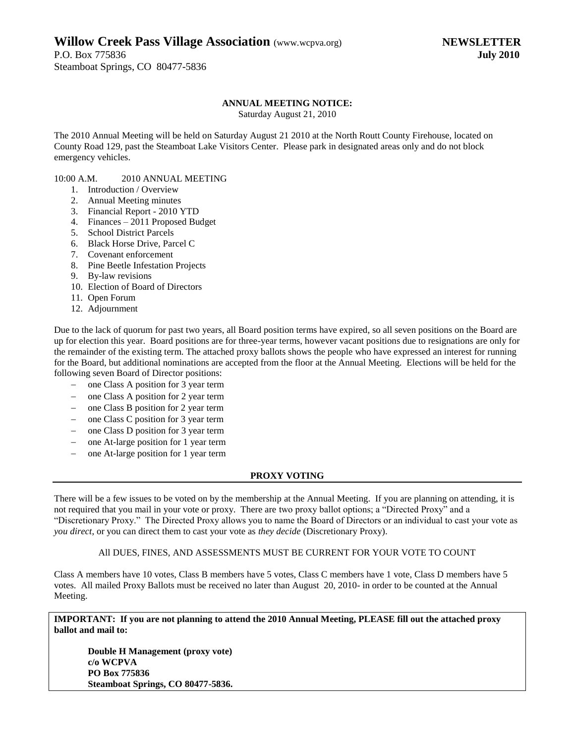## **Willow Creek Pass Village Association** (www.wcpva.org) **NEWSLETTER**

P.O. Box 775836 **July 2010** Steamboat Springs, CO 80477-5836

#### **ANNUAL MEETING NOTICE:**

Saturday August 21, 2010

The 2010 Annual Meeting will be held on Saturday August 21 2010 at the North Routt County Firehouse, located on County Road 129, past the Steamboat Lake Visitors Center. Please park in designated areas only and do not block emergency vehicles.

#### 10:00 A.M. 2010 ANNUAL MEETING

- 1. Introduction / Overview
- 2. Annual Meeting minutes
- 3. Financial Report 2010 YTD
- 4. Finances 2011 Proposed Budget
- 5. School District Parcels
- 6. Black Horse Drive, Parcel C
- 7. Covenant enforcement
- 8. Pine Beetle Infestation Projects
- 9. By-law revisions
- 10. Election of Board of Directors
- 11. Open Forum
- 12. Adjournment

Due to the lack of quorum for past two years, all Board position terms have expired, so all seven positions on the Board are up for election this year. Board positions are for three-year terms, however vacant positions due to resignations are only for the remainder of the existing term. The attached proxy ballots shows the people who have expressed an interest for running for the Board, but additional nominations are accepted from the floor at the Annual Meeting. Elections will be held for the following seven Board of Director positions:

- one Class A position for 3 year term
- one Class A position for 2 year term
- one Class B position for 2 year term
- one Class C position for 3 year term
- one Class D position for 3 year term
- one At-large position for 1 year term
- one At-large position for 1 year term

#### **PROXY VOTING**

There will be a few issues to be voted on by the membership at the Annual Meeting. If you are planning on attending, it is not required that you mail in your vote or proxy. There are two proxy ballot options; a "Directed Proxy" and a "Discretionary Proxy." The Directed Proxy allows you to name the Board of Directors or an individual to cast your vote as *you direct*, or you can direct them to cast your vote as *they decide* (Discretionary Proxy).

### All DUES, FINES, AND ASSESSMENTS MUST BE CURRENT FOR YOUR VOTE TO COUNT

Class A members have 10 votes, Class B members have 5 votes, Class C members have 1 vote, Class D members have 5 votes. All mailed Proxy Ballots must be received no later than August 20, 2010- in order to be counted at the Annual Meeting.

**IMPORTANT: If you are not planning to attend the 2010 Annual Meeting, PLEASE fill out the attached proxy ballot and mail to:**

**Double H Management (proxy vote) c/o WCPVA PO Box 775836 Steamboat Springs, CO 80477-5836.**